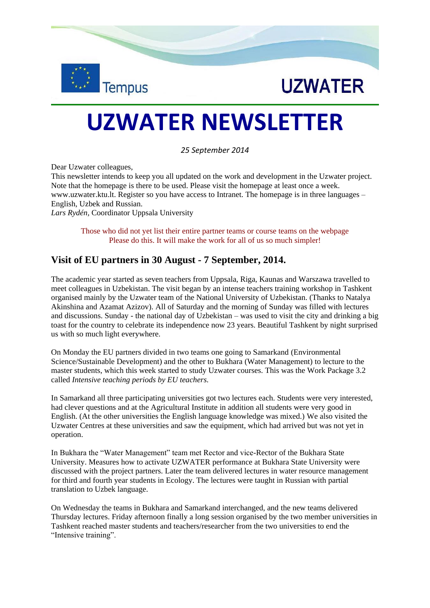



# **UZWATER NEWSLETTER**

*25 September 2014*

Dear Uzwater colleagues,

This newsletter intends to keep you all updated on the work and development in the Uzwater project. Note that the homepage is there to be used. Please visit the homepage at least once a week. [www.uzwater.ktu.lt.](http://www.uzwater.ktu.lt/) Register so you have access to Intranet. The homepage is in three languages – English, Uzbek and Russian. *Lars Rydén,* Coordinator Uppsala University

Those who did not yet list their entire partner teams or course teams on the webpage

Please do this. It will make the work for all of us so much simpler!

# **Visit of EU partners in 30 August - 7 September, 2014.**

The academic year started as seven teachers from Uppsala, Riga, Kaunas and Warszawa travelled to meet colleagues in Uzbekistan. The visit began by an intense teachers training workshop in Tashkent organised mainly by the Uzwater team of the National University of Uzbekistan. (Thanks to Natalya Akinshina and Azamat Azizov). All of Saturday and the morning of Sunday was filled with lectures and discussions. Sunday - the national day of Uzbekistan – was used to visit the city and drinking a big toast for the country to celebrate its independence now 23 years. Beautiful Tashkent by night surprised us with so much light everywhere.

On Monday the EU partners divided in two teams one going to Samarkand (Environmental Science/Sustainable Development) and the other to Bukhara (Water Management) to lecture to the master students, which this week started to study Uzwater courses. This was the Work Package 3.2 called *Intensive teaching periods by EU teachers.*

In Samarkand all three participating universities got two lectures each. Students were very interested, had clever questions and at the Agricultural Institute in addition all students were very good in English. (At the other universities the English language knowledge was mixed.) We also visited the Uzwater Centres at these universities and saw the equipment, which had arrived but was not yet in operation.

In Bukhara the "Water Management" team met Rector and vice-Rector of the Bukhara State University. Measures how to activate UZWATER performance at Bukhara State University were discussed with the project partners. Later the team delivered lectures in water resource management for third and fourth year students in Ecology. The lectures were taught in Russian with partial translation to Uzbek language.

On Wednesday the teams in Bukhara and Samarkand interchanged, and the new teams delivered Thursday lectures. Friday afternoon finally a long session organised by the two member universities in Tashkent reached master students and teachers/researcher from the two universities to end the "Intensive training".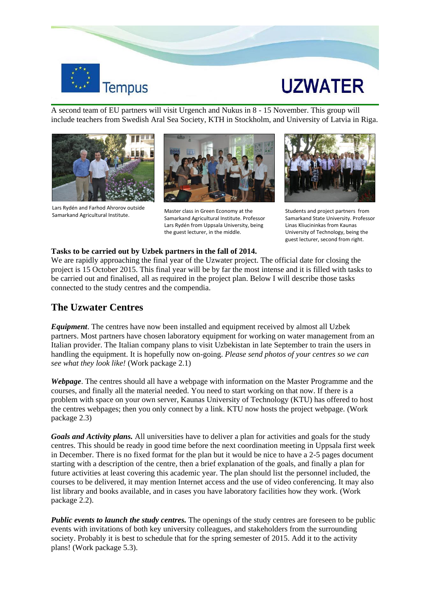

# **UZWATER**

A second team of EU partners will visit Urgench and Nukus in 8 - 15 November. This group will include teachers from Swedish Aral Sea Society, KTH in Stockholm, and University of Latvia in Riga.



Lars Rydén and Farhod Ahrorov outside Samarkand Agricultural Institute.



Master class in Green Economy at the Samarkand Agricultural Institute. Professor Lars Rydén from Uppsala University, being the guest lecturer, in the middle.



Students and project partners from Samarkand State University. Professor Linas Kliucininkas from Kaunas University of Technology, being the guest lecturer, second from right.

#### **Tasks to be carried out by Uzbek partners in the fall of 2014.**

We are rapidly approaching the final year of the Uzwater project. The official date for closing the project is 15 October 2015. This final year will be by far the most intense and it is filled with tasks to be carried out and finalised, all as required in the project plan. Below I will describe those tasks connected to the study centres and the compendia.

## **The Uzwater Centres**

*Equipment*. The centres have now been installed and equipment received by almost all Uzbek partners. Most partners have chosen laboratory equipment for working on water management from an Italian provider. The Italian company plans to visit Uzbekistan in late September to train the users in handling the equipment. It is hopefully now on-going. *Please send photos of your centres so we can see what they look like!* (Work package 2.1)

*Webpage*. The centres should all have a webpage with information on the Master Programme and the courses, and finally all the material needed. You need to start working on that now. If there is a problem with space on your own server, Kaunas University of Technology (KTU) has offered to host the centres webpages; then you only connect by a link. KTU now hosts the project webpage. (Work package 2.3)

*Goals and Activity plans.* All universities have to deliver a plan for activities and goals for the study centres. This should be ready in good time before the next coordination meeting in Uppsala first week in December. There is no fixed format for the plan but it would be nice to have a 2-5 pages document starting with a description of the centre, then a brief explanation of the goals, and finally a plan for future activities at least covering this academic year. The plan should list the personnel included, the courses to be delivered, it may mention Internet access and the use of video conferencing. It may also list library and books available, and in cases you have laboratory facilities how they work. (Work package 2.2).

*Public events to launch the study centres.* The openings of the study centres are foreseen to be public events with invitations of both key university colleagues, and stakeholders from the surrounding society. Probably it is best to schedule that for the spring semester of 2015. Add it to the activity plans! (Work package 5.3).